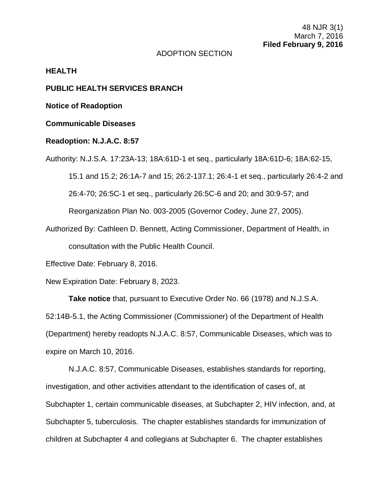## ADOPTION SECTION

#### **HEALTH**

## **PUBLIC HEALTH SERVICES BRANCH**

**Notice of Readoption**

# **Communicable Diseases**

#### **Readoption: N.J.A.C. 8:57**

Authority: N.J.S.A. 17:23A-13; 18A:61D-1 et seq., particularly 18A:61D-6; 18A:62-15, 15.1 and 15.2; 26:1A-7 and 15; 26:2-137.1; 26:4-1 et seq., particularly 26:4-2 and 26:4-70; 26:5C-1 et seq., particularly 26:5C-6 and 20; and 30:9-57; and Reorganization Plan No. 003-2005 (Governor Codey, June 27, 2005).

Authorized By: Cathleen D. Bennett, Acting Commissioner, Department of Health, in consultation with the Public Health Council.

Effective Date: February 8, 2016.

New Expiration Date: February 8, 2023.

**Take notice** that, pursuant to Executive Order No. 66 (1978) and N.J.S.A. 52:14B-5.1, the Acting Commissioner (Commissioner) of the Department of Health (Department) hereby readopts N.J.A.C. 8:57, Communicable Diseases, which was to expire on March 10, 2016.

N.J.A.C. 8:57, Communicable Diseases, establishes standards for reporting, investigation, and other activities attendant to the identification of cases of, at Subchapter 1, certain communicable diseases, at Subchapter 2, HIV infection, and, at Subchapter 5, tuberculosis. The chapter establishes standards for immunization of children at Subchapter 4 and collegians at Subchapter 6. The chapter establishes